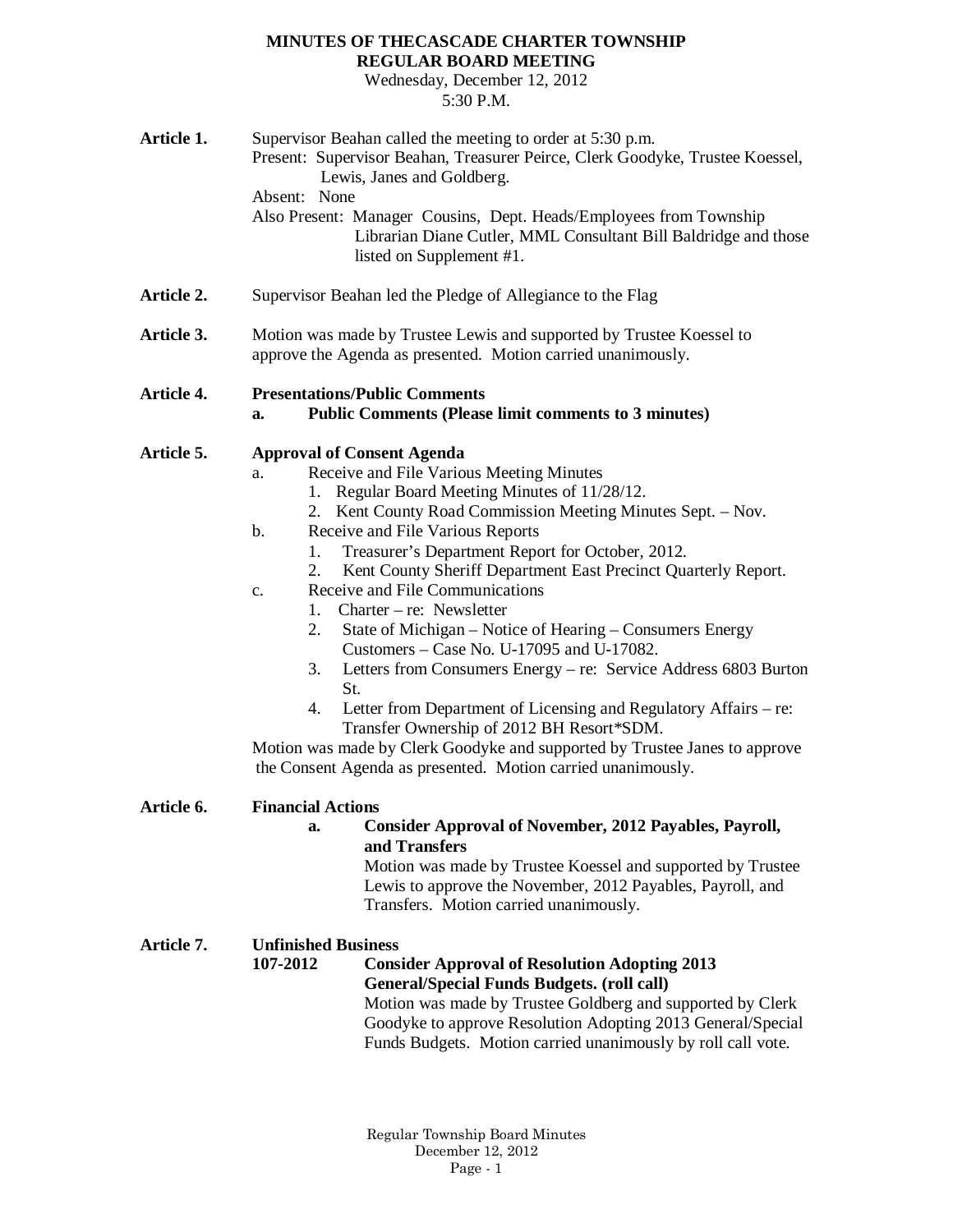## **MINUTES OF THECASCADE CHARTER TOWNSHIP REGULAR BOARD MEETING**

Wednesday, December 12, 2012 5:30 P.M.

| Article 1. | Supervisor Beahan called the meeting to order at 5:30 p.m.<br>Present: Supervisor Beahan, Treasurer Peirce, Clerk Goodyke, Trustee Koessel,<br>Lewis, Janes and Goldberg.<br>Absent: None<br>Also Present: Manager Cousins, Dept. Heads/Employees from Township<br>Librarian Diane Cutler, MML Consultant Bill Baldridge and those<br>listed on Supplement #1.                                                                                                                                                                                                                                                                                                                                                                                                                                                                                                                                                                                     |  |  |
|------------|----------------------------------------------------------------------------------------------------------------------------------------------------------------------------------------------------------------------------------------------------------------------------------------------------------------------------------------------------------------------------------------------------------------------------------------------------------------------------------------------------------------------------------------------------------------------------------------------------------------------------------------------------------------------------------------------------------------------------------------------------------------------------------------------------------------------------------------------------------------------------------------------------------------------------------------------------|--|--|
| Article 2. | Supervisor Beahan led the Pledge of Allegiance to the Flag                                                                                                                                                                                                                                                                                                                                                                                                                                                                                                                                                                                                                                                                                                                                                                                                                                                                                         |  |  |
| Article 3. | Motion was made by Trustee Lewis and supported by Trustee Koessel to<br>approve the Agenda as presented. Motion carried unanimously.                                                                                                                                                                                                                                                                                                                                                                                                                                                                                                                                                                                                                                                                                                                                                                                                               |  |  |
| Article 4. | <b>Presentations/Public Comments</b><br><b>Public Comments (Please limit comments to 3 minutes)</b><br>a.                                                                                                                                                                                                                                                                                                                                                                                                                                                                                                                                                                                                                                                                                                                                                                                                                                          |  |  |
| Article 5. | <b>Approval of Consent Agenda</b><br>Receive and File Various Meeting Minutes<br>a.<br>1. Regular Board Meeting Minutes of 11/28/12.<br>2. Kent County Road Commission Meeting Minutes Sept. - Nov.<br>Receive and File Various Reports<br>$\mathbf b$ .<br>Treasurer's Department Report for October, 2012.<br>1.<br>Kent County Sheriff Department East Precinct Quarterly Report.<br>2.<br>Receive and File Communications<br>$\mathbf{c}$ .<br>1. Charter – re: Newsletter<br>State of Michigan – Notice of Hearing – Consumers Energy<br>2.<br>Customers – Case No. U-17095 and U-17082.<br>3.<br>Letters from Consumers Energy – re: Service Address 6803 Burton<br>St.<br>Letter from Department of Licensing and Regulatory Affairs – re:<br>4.<br>Transfer Ownership of 2012 BH Resort*SDM.<br>Motion was made by Clerk Goodyke and supported by Trustee Janes to approve<br>the Consent Agenda as presented. Motion carried unanimously. |  |  |
| Article 6. | <b>Financial Actions</b><br><b>Consider Approval of November, 2012 Payables, Payroll,</b><br>a.<br>and Transfers<br>Motion was made by Trustee Koessel and supported by Trustee<br>Lewis to approve the November, 2012 Payables, Payroll, and<br>Transfers. Motion carried unanimously.                                                                                                                                                                                                                                                                                                                                                                                                                                                                                                                                                                                                                                                            |  |  |
| Article 7. | <b>Unfinished Business</b><br>107-2012<br><b>Consider Approval of Resolution Adopting 2013</b><br><b>General/Special Funds Budgets. (roll call)</b><br>Motion was made by Trustee Goldberg and supported by Clerk<br>Goodyke to approve Resolution Adopting 2013 General/Special<br>Funds Budgets. Motion carried unanimously by roll call vote.                                                                                                                                                                                                                                                                                                                                                                                                                                                                                                                                                                                                   |  |  |

Regular Township Board Minutes December 12, 2012 Page - 1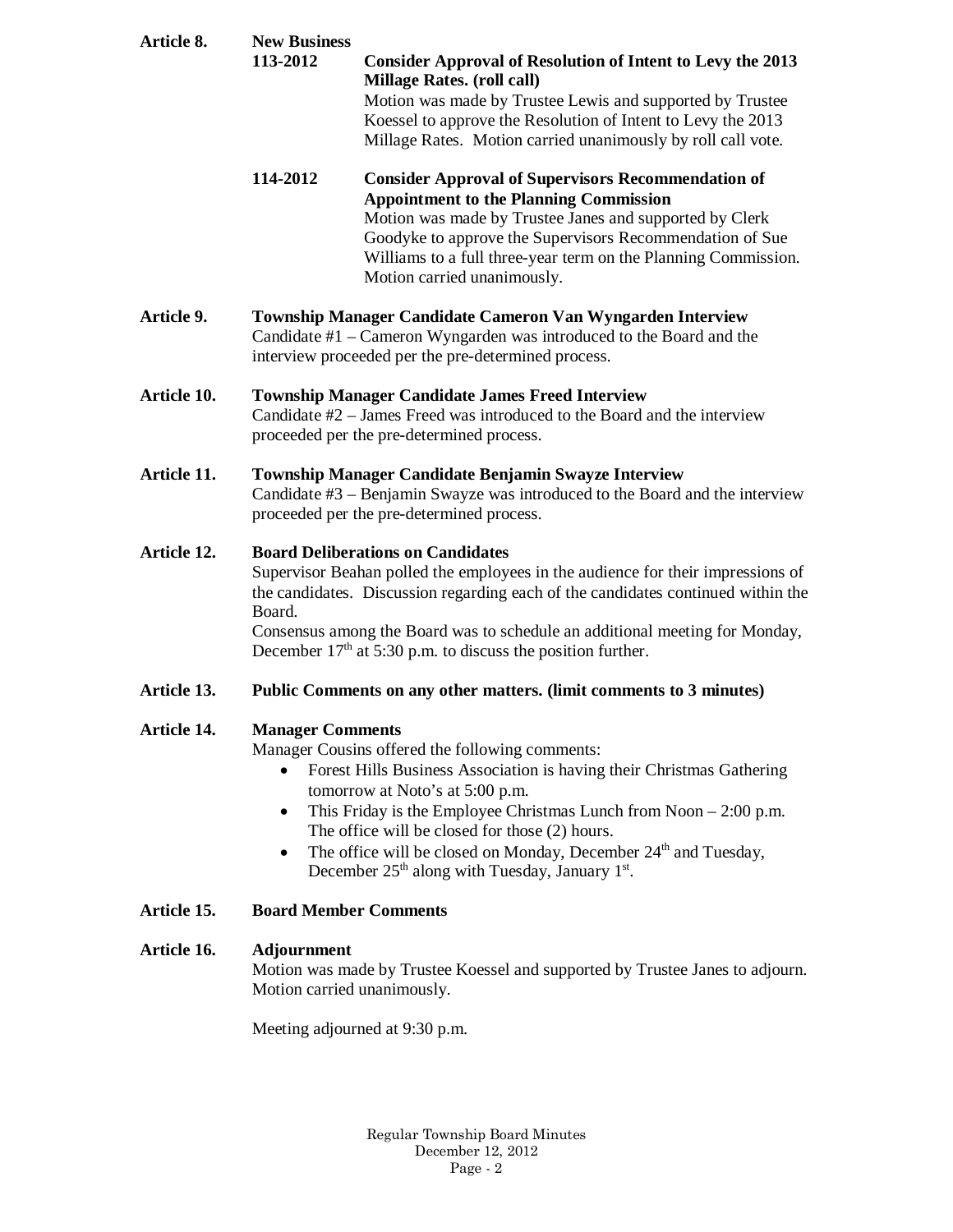| Article 8.         | <b>New Business</b><br>113-2012                                                                                                                                                                                                                                                                                                                                                                                                                                                          | <b>Consider Approval of Resolution of Intent to Levy the 2013</b><br><b>Millage Rates. (roll call)</b><br>Motion was made by Trustee Lewis and supported by Trustee<br>Koessel to approve the Resolution of Intent to Levy the 2013<br>Millage Rates. Motion carried unanimously by roll call vote.                                |  |
|--------------------|------------------------------------------------------------------------------------------------------------------------------------------------------------------------------------------------------------------------------------------------------------------------------------------------------------------------------------------------------------------------------------------------------------------------------------------------------------------------------------------|------------------------------------------------------------------------------------------------------------------------------------------------------------------------------------------------------------------------------------------------------------------------------------------------------------------------------------|--|
|                    | 114-2012                                                                                                                                                                                                                                                                                                                                                                                                                                                                                 | <b>Consider Approval of Supervisors Recommendation of</b><br><b>Appointment to the Planning Commission</b><br>Motion was made by Trustee Janes and supported by Clerk<br>Goodyke to approve the Supervisors Recommendation of Sue<br>Williams to a full three-year term on the Planning Commission.<br>Motion carried unanimously. |  |
| Article 9.         | Township Manager Candidate Cameron Van Wyngarden Interview<br>Candidate #1 – Cameron Wyngarden was introduced to the Board and the<br>interview proceeded per the pre-determined process.                                                                                                                                                                                                                                                                                                |                                                                                                                                                                                                                                                                                                                                    |  |
| <b>Article 10.</b> | <b>Township Manager Candidate James Freed Interview</b><br>Candidate #2 – James Freed was introduced to the Board and the interview<br>proceeded per the pre-determined process.                                                                                                                                                                                                                                                                                                         |                                                                                                                                                                                                                                                                                                                                    |  |
| Article 11.        | Township Manager Candidate Benjamin Swayze Interview<br>Candidate #3 – Benjamin Swayze was introduced to the Board and the interview<br>proceeded per the pre-determined process.                                                                                                                                                                                                                                                                                                        |                                                                                                                                                                                                                                                                                                                                    |  |
| Article 12.        | <b>Board Deliberations on Candidates</b><br>Supervisor Beahan polled the employees in the audience for their impressions of<br>the candidates. Discussion regarding each of the candidates continued within the<br>Board.<br>Consensus among the Board was to schedule an additional meeting for Monday,<br>December $17th$ at 5:30 p.m. to discuss the position further.                                                                                                                |                                                                                                                                                                                                                                                                                                                                    |  |
| Article 13.        | Public Comments on any other matters. (limit comments to 3 minutes)                                                                                                                                                                                                                                                                                                                                                                                                                      |                                                                                                                                                                                                                                                                                                                                    |  |
| Article 14.        | <b>Manager Comments</b><br>Manager Cousins offered the following comments:<br>Forest Hills Business Association is having their Christmas Gathering<br>tomorrow at Noto's at 5:00 p.m.<br>This Friday is the Employee Christmas Lunch from Noon $-2:00$ p.m.<br>$\bullet$<br>The office will be closed for those (2) hours.<br>The office will be closed on Monday, December 24 <sup>th</sup> and Tuesday,<br>$\bullet$<br>December $25th$ along with Tuesday, January 1 <sup>st</sup> . |                                                                                                                                                                                                                                                                                                                                    |  |
| Article 15.        | <b>Board Member Comments</b>                                                                                                                                                                                                                                                                                                                                                                                                                                                             |                                                                                                                                                                                                                                                                                                                                    |  |
| Article 16.        | <b>Adjournment</b><br>Motion was made by Trustee Koessel and supported by Trustee Janes to adjourn.<br>Motion carried unanimously.                                                                                                                                                                                                                                                                                                                                                       |                                                                                                                                                                                                                                                                                                                                    |  |
|                    | Meeting adjourned at 9:30 p.m.                                                                                                                                                                                                                                                                                                                                                                                                                                                           |                                                                                                                                                                                                                                                                                                                                    |  |